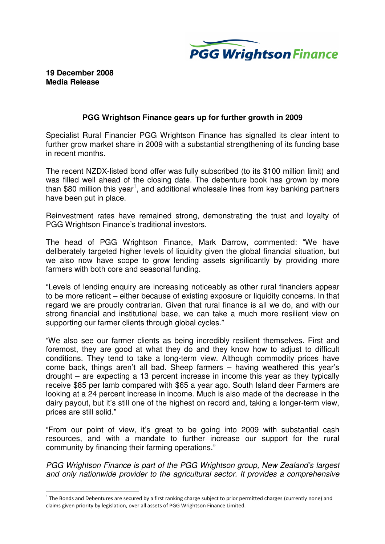

## **19 December 2008 Media Release**

 $\overline{a}$ 

## **PGG Wrightson Finance gears up for further growth in 2009**

Specialist Rural Financier PGG Wrightson Finance has signalled its clear intent to further grow market share in 2009 with a substantial strengthening of its funding base in recent months.

The recent NZDX-listed bond offer was fully subscribed (to its \$100 million limit) and was filled well ahead of the closing date. The debenture book has grown by more than \$80 million this year<sup>1</sup>, and additional wholesale lines from key banking partners have been put in place.

Reinvestment rates have remained strong, demonstrating the trust and loyalty of PGG Wrightson Finance's traditional investors.

The head of PGG Wrightson Finance, Mark Darrow, commented: "We have deliberately targeted higher levels of liquidity given the global financial situation, but we also now have scope to grow lending assets significantly by providing more farmers with both core and seasonal funding.

"Levels of lending enquiry are increasing noticeably as other rural financiers appear to be more reticent – either because of existing exposure or liquidity concerns. In that regard we are proudly contrarian. Given that rural finance is all we do, and with our strong financial and institutional base, we can take a much more resilient view on supporting our farmer clients through global cycles."

"We also see our farmer clients as being incredibly resilient themselves. First and foremost, they are good at what they do and they know how to adjust to difficult conditions. They tend to take a long-term view. Although commodity prices have come back, things aren't all bad. Sheep farmers – having weathered this year's drought – are expecting a 13 percent increase in income this year as they typically receive \$85 per lamb compared with \$65 a year ago. South Island deer Farmers are looking at a 24 percent increase in income. Much is also made of the decrease in the dairy payout, but it's still one of the highest on record and, taking a longer-term view, prices are still solid."

"From our point of view, it's great to be going into 2009 with substantial cash resources, and with a mandate to further increase our support for the rural community by financing their farming operations."

PGG Wrightson Finance is part of the PGG Wrightson group, New Zealand's largest and only nationwide provider to the agricultural sector. It provides a comprehensive

 $^1$  The Bonds and Debentures are secured by a first ranking charge subject to prior permitted charges (currently none) and claims given priority by legislation, over all assets of PGG Wrightson Finance Limited.